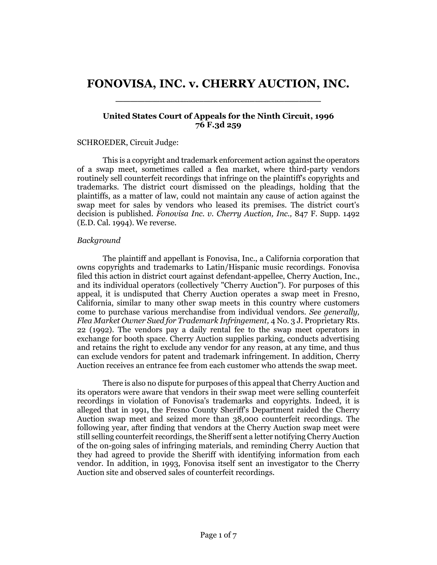# **FONOVISA, INC. v. CHERRY AUCTION, INC.** \_\_\_\_\_\_\_\_\_\_\_\_\_\_\_\_\_\_\_\_\_\_\_\_\_\_\_\_

## **United States Court of Appeals for the Ninth Circuit, 1996 76 F.3d 259**

#### SCHROEDER, Circuit Judge:

This is a copyright and trademark enforcement action against the operators of a swap meet, sometimes called a flea market, where third-party vendors routinely sell counterfeit recordings that infringe on the plaintiff's copyrights and trademarks. The district court dismissed on the pleadings, holding that the plaintiffs, as a matter of law, could not maintain any cause of action against the swap meet for sales by vendors who leased its premises. The district court's decision is published. *Fonovisa Inc. v. Cherry Auction, Inc.,* 847 F. Supp. 1492 (E.D. Cal. 1994). We reverse.

### *Background*

The plaintiff and appellant is Fonovisa, Inc., a California corporation that owns copyrights and trademarks to Latin/Hispanic music recordings. Fonovisa filed this action in district court against defendant-appellee, Cherry Auction, Inc., and its individual operators (collectively "Cherry Auction"). For purposes of this appeal, it is undisputed that Cherry Auction operates a swap meet in Fresno, California, similar to many other swap meets in this country where customers come to purchase various merchandise from individual vendors. *See generally, Flea Market Owner Sued for Trademark Infringement,* 4 No. 3 J. Proprietary Rts. 22 (1992). The vendors pay a daily rental fee to the swap meet operators in exchange for booth space. Cherry Auction supplies parking, conducts advertising and retains the right to exclude any vendor for any reason, at any time, and thus can exclude vendors for patent and trademark infringement. In addition, Cherry Auction receives an entrance fee from each customer who attends the swap meet.

There is also no dispute for purposes of this appeal that Cherry Auction and its operators were aware that vendors in their swap meet were selling counterfeit recordings in violation of Fonovisa's trademarks and copyrights. Indeed, it is alleged that in 1991, the Fresno County Sheriff's Department raided the Cherry Auction swap meet and seized more than 38,000 counterfeit recordings. The following year, after finding that vendors at the Cherry Auction swap meet were still selling counterfeit recordings, the Sheriff sent a letter notifying Cherry Auction of the on-going sales of infringing materials, and reminding Cherry Auction that they had agreed to provide the Sheriff with identifying information from each vendor. In addition, in 1993, Fonovisa itself sent an investigator to the Cherry Auction site and observed sales of counterfeit recordings.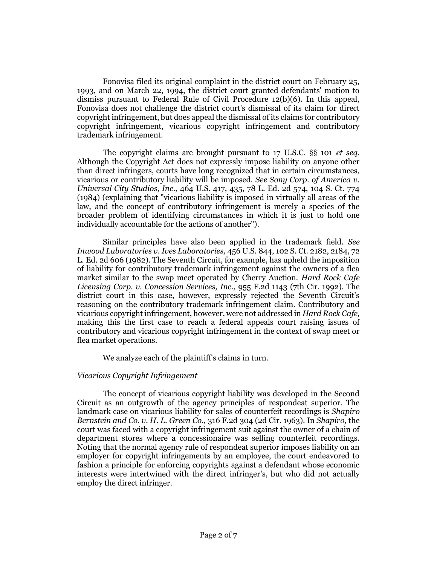Fonovisa filed its original complaint in the district court on February 25, 1993, and on March 22, 1994, the district court granted defendants' motion to dismiss pursuant to Federal Rule of Civil Procedure 12(b)(6). In this appeal, Fonovisa does not challenge the district court's dismissal of its claim for direct copyright infringement, but does appeal the dismissal of its claims for contributory copyright infringement, vicarious copyright infringement and contributory trademark infringement.

The copyright claims are brought pursuant to 17 U.S.C. §§ 101 *et seq.* Although the Copyright Act does not expressly impose liability on anyone other than direct infringers, courts have long recognized that in certain circumstances, vicarious or contributory liability will be imposed. *See Sony Corp. of America v. Universal City Studios, Inc.,* 464 U.S. 417, 435, 78 L. Ed. 2d 574, 104 S. Ct. 774 (1984) (explaining that "vicarious liability is imposed in virtually all areas of the law, and the concept of contributory infringement is merely a species of the broader problem of identifying circumstances in which it is just to hold one individually accountable for the actions of another").

Similar principles have also been applied in the trademark field. *See Inwood Laboratories v. Ives Laboratories,* 456 U.S. 844, 102 S. Ct. 2182, 2184, 72 L. Ed. 2d 606 (1982). The Seventh Circuit, for example, has upheld the imposition of liability for contributory trademark infringement against the owners of a flea market similar to the swap meet operated by Cherry Auction. *Hard Rock Cafe Licensing Corp. v. Concession Services, Inc.,* 955 F.2d 1143 (7th Cir. 1992). The district court in this case, however, expressly rejected the Seventh Circuit's reasoning on the contributory trademark infringement claim. Contributory and vicarious copyright infringement, however, were not addressed in *Hard Rock Cafe,* making this the first case to reach a federal appeals court raising issues of contributory and vicarious copyright infringement in the context of swap meet or flea market operations.

We analyze each of the plaintiff's claims in turn.

### *Vicarious Copyright Infringement*

The concept of vicarious copyright liability was developed in the Second Circuit as an outgrowth of the agency principles of respondeat superior. The landmark case on vicarious liability for sales of counterfeit recordings is *Shapiro Bernstein and Co. v. H. L. Green Co.,* 316 F.2d 304 (2d Cir. 1963). In *Shapiro,* the court was faced with a copyright infringement suit against the owner of a chain of department stores where a concessionaire was selling counterfeit recordings. Noting that the normal agency rule of respondeat superior imposes liability on an employer for copyright infringements by an employee, the court endeavored to fashion a principle for enforcing copyrights against a defendant whose economic interests were intertwined with the direct infringer's, but who did not actually employ the direct infringer.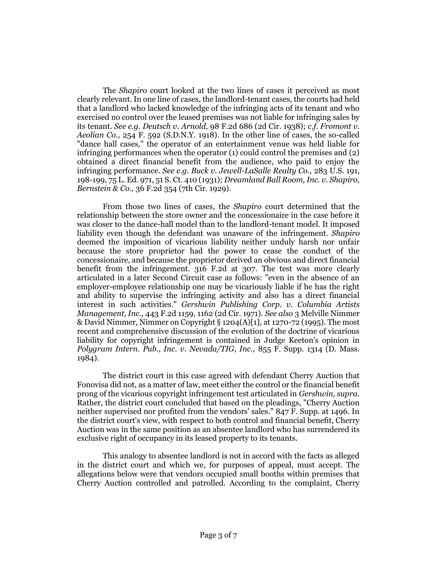The *Shapiro* court looked at the two lines of cases it perceived as most clearly relevant. In one line of cases, the landlord-tenant cases, the courts had held that a landlord who lacked knowledge of the infringing acts of its tenant and who exercised no control over the leased premises was not liable for infringing sales by its tenant. *See e.g. Deutsch v. Arnold,* 98 F.2d 686 (2d Cir. 1938); *c.f. Fromont v. Aeolian Co.,* 254 F. 592 (S.D.N.Y. 1918). In the other line of cases, the so-called "dance hall cases," the operator of an entertainment venue was held liable for infringing performances when the operator (1) could control the premises and (2) obtained a direct financial benefit from the audience, who paid to enjoy the infringing performance. *See e.g. Buck v. Jewell-LaSalle Realty Co.,* 283 U.S. 191, 198-199, 75 L. Ed. 971, 51 S. Ct. 410 (1931); *Dreamland Ball Room, Inc. v. Shapiro, Bernstein & Co.,* 36 F.2d 354 (7th Cir. 1929).

From those two lines of cases, the *Shapiro* court determined that the relationship between the store owner and the concessionaire in the case before it was closer to the dance-hall model than to the landlord-tenant model. It imposed liability even though the defendant was unaware of the infringement. *Shapiro* deemed the imposition of vicarious liability neither unduly harsh nor unfair because the store proprietor had the power to cease the conduct of the concessionaire, and because the proprietor derived an obvious and direct financial benefit from the infringement. 316 F.2d at 307. The test was more clearly articulated in a later Second Circuit case as follows: "even in the absence of an employer-employee relationship one may be vicariously liable if he has the right and ability to supervise the infringing activity and also has a direct financial interest in such activities." *Gershwin Publishing Corp. v. Columbia Artists Management, Inc.,* 443 F.2d 1159, 1162 (2d Cir. 1971). *See also* 3 Melville Nimmer & David Nimmer, Nimmer on Copyright  $\S 1204(A)[1]$ , at 1270-72 (1995). The most recent and comprehensive discussion of the evolution of the doctrine of vicarious liability for copyright infringement is contained in Judge Keeton's opinion in *Polygram Intern. Pub., Inc. v. Nevada/TIG, Inc.,* 855 F. Supp. 1314 (D. Mass. 1984).

The district court in this case agreed with defendant Cherry Auction that Fonovisa did not, as a matter of law, meet either the control or the financial benefit prong of the vicarious copyright infringement test articulated in *Gershwin, supra.* Rather, the district court concluded that based on the pleadings, "Cherry Auction neither supervised nor profited from the vendors' sales." 847 F. Supp. at 1496. In the district court's view, with respect to both control and financial benefit, Cherry Auction was in the same position as an absentee landlord who has surrendered its exclusive right of occupancy in its leased property to its tenants.

This analogy to absentee landlord is not in accord with the facts as alleged in the district court and which we, for purposes of appeal, must accept. The allegations below were that vendors occupied small booths within premises that Cherry Auction controlled and patrolled. According to the complaint, Cherry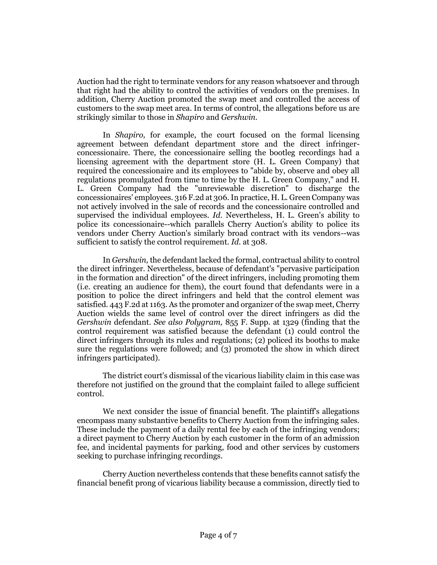Auction had the right to terminate vendors for any reason whatsoever and through that right had the ability to control the activities of vendors on the premises. In addition, Cherry Auction promoted the swap meet and controlled the access of customers to the swap meet area. In terms of control, the allegations before us are strikingly similar to those in *Shapiro* and *Gershwin.*

In *Shapiro,* for example, the court focused on the formal licensing agreement between defendant department store and the direct infringerconcessionaire. There, the concessionaire selling the bootleg recordings had a licensing agreement with the department store (H. L. Green Company) that required the concessionaire and its employees to "abide by, observe and obey all regulations promulgated from time to time by the H. L. Green Company," and H. L. Green Company had the "unreviewable discretion" to discharge the concessionaires' employees. 316 F.2d at 306. In practice, H. L. Green Company was not actively involved in the sale of records and the concessionaire controlled and supervised the individual employees. *Id.* Nevertheless, H. L. Green's ability to police its concessionaire--which parallels Cherry Auction's ability to police its vendors under Cherry Auction's similarly broad contract with its vendors--was sufficient to satisfy the control requirement. *Id.* at 308.

In *Gershwin,* the defendant lacked the formal, contractual ability to control the direct infringer. Nevertheless, because of defendant's "pervasive participation in the formation and direction" of the direct infringers, including promoting them (i.e. creating an audience for them), the court found that defendants were in a position to police the direct infringers and held that the control element was satisfied. 443 F.2d at 1163. As the promoter and organizer of the swap meet, Cherry Auction wields the same level of control over the direct infringers as did the *Gershwin* defendant. *See also Polygram,* 855 F. Supp. at 1329 (finding that the control requirement was satisfied because the defendant (1) could control the direct infringers through its rules and regulations; (2) policed its booths to make sure the regulations were followed; and (3) promoted the show in which direct infringers participated).

The district court's dismissal of the vicarious liability claim in this case was therefore not justified on the ground that the complaint failed to allege sufficient control.

We next consider the issue of financial benefit. The plaintiff's allegations encompass many substantive benefits to Cherry Auction from the infringing sales. These include the payment of a daily rental fee by each of the infringing vendors; a direct payment to Cherry Auction by each customer in the form of an admission fee, and incidental payments for parking, food and other services by customers seeking to purchase infringing recordings.

Cherry Auction nevertheless contends that these benefits cannot satisfy the financial benefit prong of vicarious liability because a commission, directly tied to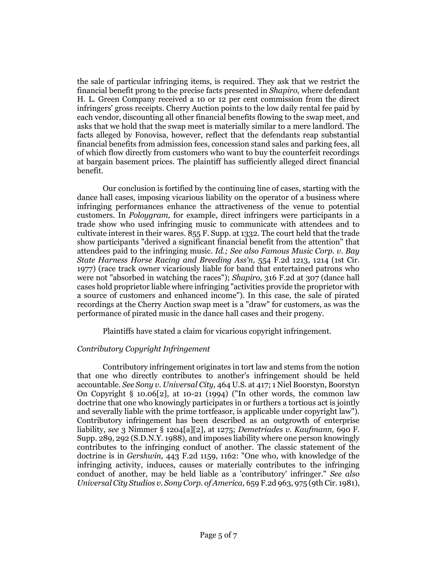the sale of particular infringing items, is required. They ask that we restrict the financial benefit prong to the precise facts presented in *Shapiro,* where defendant H. L. Green Company received a 10 or 12 per cent commission from the direct infringers' gross receipts. Cherry Auction points to the low daily rental fee paid by each vendor, discounting all other financial benefits flowing to the swap meet, and asks that we hold that the swap meet is materially similar to a mere landlord. The facts alleged by Fonovisa, however, reflect that the defendants reap substantial financial benefits from admission fees, concession stand sales and parking fees, all of which flow directly from customers who want to buy the counterfeit recordings at bargain basement prices. The plaintiff has sufficiently alleged direct financial benefit.

Our conclusion is fortified by the continuing line of cases, starting with the dance hall cases, imposing vicarious liability on the operator of a business where infringing performances enhance the attractiveness of the venue to potential customers. In *Poloygram,* for example, direct infringers were participants in a trade show who used infringing music to communicate with attendees and to cultivate interest in their wares. 855 F. Supp. at 1332. The court held that the trade show participants "derived a significant financial benefit from the attention" that attendees paid to the infringing music. *Id.; See also Famous Music Corp. v. Bay State Harness Horse Racing and Breeding Ass'n,* 554 F.2d 1213, 1214 (1st Cir. 1977) (race track owner vicariously liable for band that entertained patrons who were not "absorbed in watching the races"); *Shapiro,* 316 F.2d at 307 (dance hall cases hold proprietor liable where infringing "activities provide the proprietor with a source of customers and enhanced income"). In this case, the sale of pirated recordings at the Cherry Auction swap meet is a "draw" for customers, as was the performance of pirated music in the dance hall cases and their progeny.

Plaintiffs have stated a claim for vicarious copyright infringement.

## *Contributory Copyright Infringement*

Contributory infringement originates in tort law and stems from the notion that one who directly contributes to another's infringement should be held accountable. *See Sony v. Universal City,* 464 U.S. at 417; 1 Niel Boorstyn, Boorstyn On Copyright  $\S$  10.06[2], at 10-21 (1994) ("In other words, the common law doctrine that one who knowingly participates in or furthers a tortious act is jointly and severally liable with the prime tortfeasor, is applicable under copyright law"). Contributory infringement has been described as an outgrowth of enterprise liability, *see* 3 Nimmer § 1204[a][2], at 1275; *Demetriades v. Kaufmann,* 690 F. Supp. 289, 292 (S.D.N.Y. 1988), and imposes liability where one person knowingly contributes to the infringing conduct of another. The classic statement of the doctrine is in *Gershwin,* 443 F.2d 1159, 1162: "One who, with knowledge of the infringing activity, induces, causes or materially contributes to the infringing conduct of another, may be held liable as a 'contributory' infringer." *See also Universal City Studios v. Sony Corp. of America,* 659 F.2d 963, 975 (9th Cir. 1981),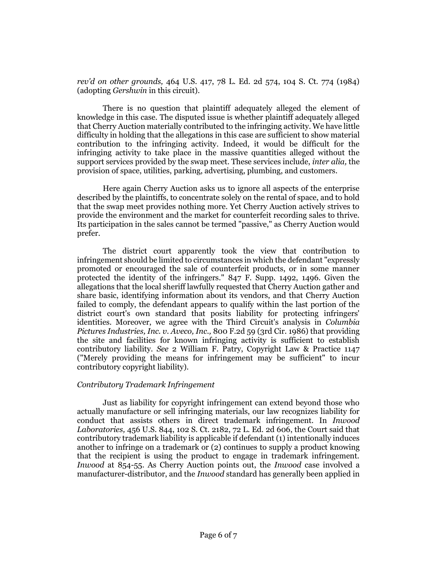*rev'd on other grounds,* 464 U.S. 417, 78 L. Ed. 2d 574, 104 S. Ct. 774 (1984) (adopting *Gershwin* in this circuit).

There is no question that plaintiff adequately alleged the element of knowledge in this case. The disputed issue is whether plaintiff adequately alleged that Cherry Auction materially contributed to the infringing activity. We have little difficulty in holding that the allegations in this case are sufficient to show material contribution to the infringing activity. Indeed, it would be difficult for the infringing activity to take place in the massive quantities alleged without the support services provided by the swap meet. These services include, *inter alia,* the provision of space, utilities, parking, advertising, plumbing, and customers.

Here again Cherry Auction asks us to ignore all aspects of the enterprise described by the plaintiffs, to concentrate solely on the rental of space, and to hold that the swap meet provides nothing more. Yet Cherry Auction actively strives to provide the environment and the market for counterfeit recording sales to thrive. Its participation in the sales cannot be termed "passive," as Cherry Auction would prefer.

The district court apparently took the view that contribution to infringement should be limited to circumstances in which the defendant "expressly promoted or encouraged the sale of counterfeit products, or in some manner protected the identity of the infringers." 847 F. Supp. 1492, 1496. Given the allegations that the local sheriff lawfully requested that Cherry Auction gather and share basic, identifying information about its vendors, and that Cherry Auction failed to comply, the defendant appears to qualify within the last portion of the district court's own standard that posits liability for protecting infringers' identities. Moreover, we agree with the Third Circuit's analysis in *Columbia Pictures Industries, Inc. v. Aveco, Inc.,* 800 F.2d 59 (3rd Cir. 1986) that providing the site and facilities for known infringing activity is sufficient to establish contributory liability. *See* 2 William F. Patry, Copyright Law & Practice 1147 ("Merely providing the means for infringement may be sufficient" to incur contributory copyright liability).

### *Contributory Trademark Infringement*

Just as liability for copyright infringement can extend beyond those who actually manufacture or sell infringing materials, our law recognizes liability for conduct that assists others in direct trademark infringement. In *Inwood Laboratories,* 456 U.S. 844, 102 S. Ct. 2182, 72 L. Ed. 2d 606, the Court said that contributory trademark liability is applicable if defendant (1) intentionally induces another to infringe on a trademark or (2) continues to supply a product knowing that the recipient is using the product to engage in trademark infringement. *Inwood* at 854-55. As Cherry Auction points out, the *Inwood* case involved a manufacturer-distributor, and the *Inwood* standard has generally been applied in